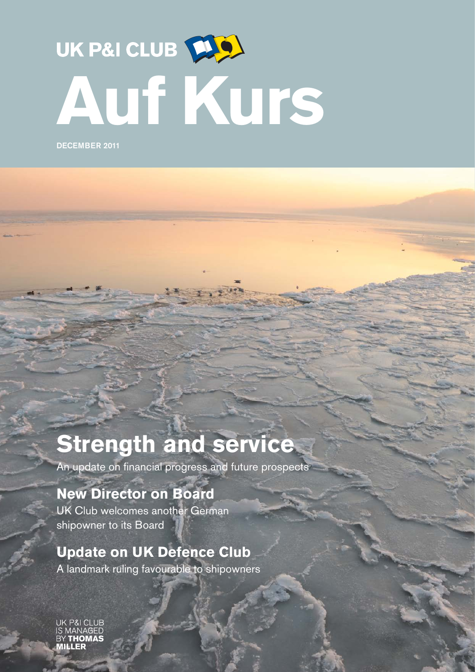# UK P&I CLUB [10] **Auf Kurs**

DECEMBER 2011

## **Strength and service**

An update on financial progress and future prospects

### **New Director on Board**

UK Club welcomes another German shipowner to its Board

#### **Update on UK Defence Club**

A landmark ruling favourable to shipowners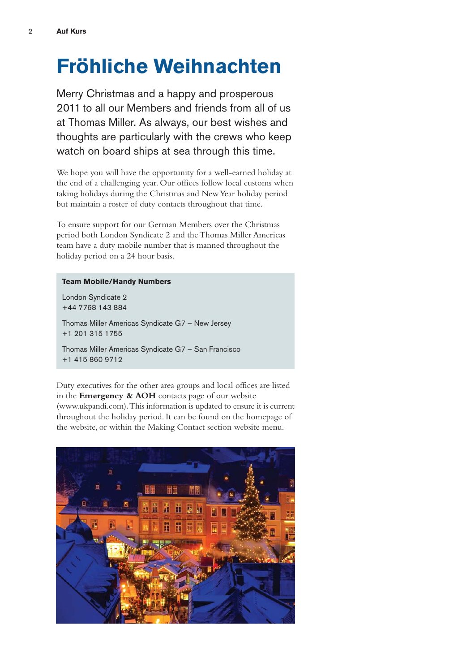## **Fröhliche Weihnachten**

Merry Christmas and a happy and prosperous 2011 to all our Members and friends from all of us at Thomas Miller. As always, our best wishes and thoughts are particularly with the crews who keep watch on board ships at sea through this time.

We hope you will have the opportunity for a well-earned holiday at the end of a challenging year. Our offices follow local customs when taking holidays during the Christmas and New Year holiday period but maintain a roster of duty contacts throughout that time.

To ensure support for our German Members over the Christmas period both London Syndicate 2 and the Thomas Miller Americas team have a duty mobile number that is manned throughout the holiday period on a 24 hour basis.

#### **Team Mobile/Handy Numbers**

London Syndicate 2 +44 7768 143 884

Thomas Miller Americas Syndicate G7 – New Jersey +1 201 315 1755

Thomas Miller Americas Syndicate G7 – San Francisco +1 415 860 9712

Duty executives for the other area groups and local offices are listed in the **Emergency & AOH** contacts page of our website (www.ukpandi.com).This information is updated to ensure it is current throughout the holiday period. It can be found on the homepage of the website, or within the Making Contact section website menu.

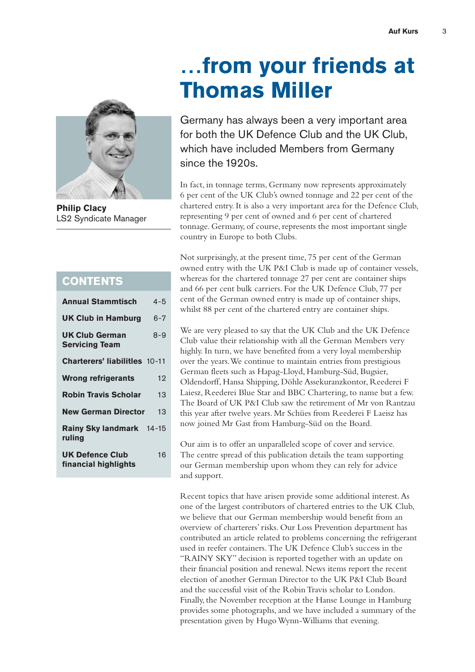

**Philip Clacy** LS2 Syndicate Manager

|  | $\overline{\phantom{a}}$<br>_ | $\overline{\phantom{a}}$<br>____ | $\overline{\phantom{a}}$ | _<br>$\overline{\phantom{a}}$ |  |
|--|-------------------------------|----------------------------------|--------------------------|-------------------------------|--|

| <b>Annual Stammtisch</b>                       | 4-5     |
|------------------------------------------------|---------|
| <b>UK Club in Hamburg</b>                      | 6-7     |
| <b>UK Club German</b><br><b>Servicing Team</b> | $8 - 9$ |
| <b>Charterers' liabilities 10-11</b>           |         |
| Wrong refrigerants                             | 12      |
| <b>Robin Travis Scholar</b>                    | 13      |
| <b>New German Director</b>                     | 13      |
| Rainy Sky landmark 14-15<br>ruling             |         |
| <b>UK Defence Club</b><br>financial highlights | 16      |

## **…from your friends at Thomas Miller**

Germany has always been a very important area for both the UK Defence Club and the UK Club, which have included Members from Germany since the 1920s.

In fact, in tonnage terms, Germany now represents approximately 6 per cent of the UK Club's owned tonnage and 22 per cent of the chartered entry. It is also a very important area for the Defence Club, representing 9 per cent of owned and 6 per cent of chartered tonnage. Germany, of course, represents the most important single country in Europe to both Clubs.

Not surprisingly, at the present time, 75 per cent of the German owned entry with the UK P&I Club is made up of container vessels, whereas for the chartered tonnage 27 per cent are container ships and 66 per cent bulk carriers. For the UK Defence Club, 77 per cent of the German owned entry is made up of container ships, whilst 88 per cent of the chartered entry are container ships.

We are very pleased to say that the UK Club and the UK Defence Club value their relationship with all the German Members very highly. In turn, we have benefited from a very loyal membership over the years. We continue to maintain entries from prestigious German fleets such as Hapag-Lloyd, Hamburg-Süd, Bugsier, Oldendorff, Hansa Shipping, Döhle Assekuranzkontor, Reederei F Laiesz, Reederei Blue Star and BBC Chartering, to name but a few. The Board of UK P&I Club saw the retirement of Mr von Rantzau this year after twelve years. Mr Schües from Reederei F Laeisz has now joined Mr Gast from Hamburg-Süd on the Board.

Our aim is to offer an unparalleled scope of cover and service. The centre spread of this publication details the team supporting our German membership upon whom they can rely for advice and support.

Recent topics that have arisen provide some additional interest. As one of the largest contributors of chartered entries to the UK Club, we believe that our German membership would benefit from an overview of charterers' risks. Our Loss Prevention department has contributed an article related to problems concerning the refrigerant used in reefer containers. The UK Defence Club's success in the "RAINY SKY" decision is reported together with an update on their financial position and renewal. News items report the recent election of another German Director to the UK P&I Club Board and the successful visit of the Robin Travis scholar to London. Finally, the November reception at the Hanse Lounge in Hamburg provides some photographs, and we have included a summary of the presentation given by Hugo Wynn-Williams that evening.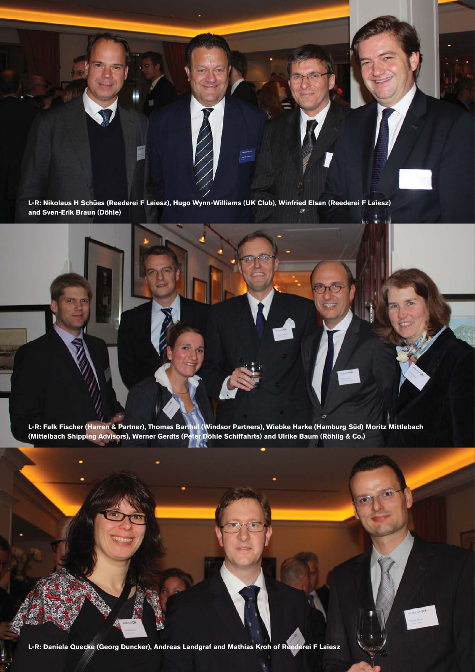**L-R: Nikolaus H Schües (Reederei F Laiesz), Hugo Wynn-Williams (UK Club), Winfried Elsan (Reederei F Laiesz) and Sven-Erik Braun (Döhle)**

**L-R: Falk Fischer (Harren & Partner), Thomas Barthel (Windsor Partners), Wiebke Harke (Hamburg Süd) Moritz Mittlebach (Mittelbach Shipping Advisors), Werner Gerdts (Peter Döhle Schiffahrts) and Ulrike Baum (Röhlig & Co.)**

**L-R: Daniela Quecke (Georg Duncker), Andreas Landgraf and Mathias Kroh of Reederei F Laiesz**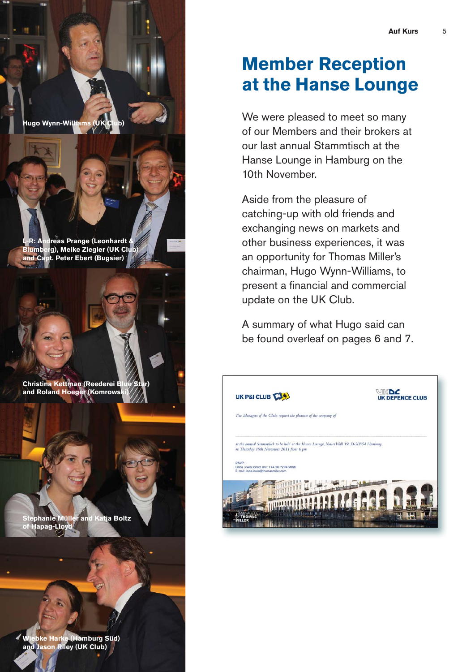### **Member Reception at the Hanse Lounge**

We were pleased to meet so many of our Members and their brokers at our last annual Stammtisch at the Hanse Lounge in Hamburg on the 10th November.

Aside from the pleasure of catching-up with old friends and exchanging news on markets and other business experiences, it was an opportunity for Thomas Miller's chairman, Hugo Wynn-Williams, to present a financial and commercial update on the UK Club.

A summary of what Hugo said can be found overleaf on pages 6 and 7.



lugo Wynn-Willi<mark>ams (UK</mark> C

**dreas Prange (Leonhardt & Blumberg), Meike Ziegler (UK Club) and Capt. Peter Ebert (Bugsier)**

**Christina Kettman (Reederei Bl and Roland Hoeger (Komrows** 

**Stephanie Müller and Katja Boltz Hapag-Lloy** 

**Wiebke Harke (Hamburg Süd) and Jason Riley (UK Club)**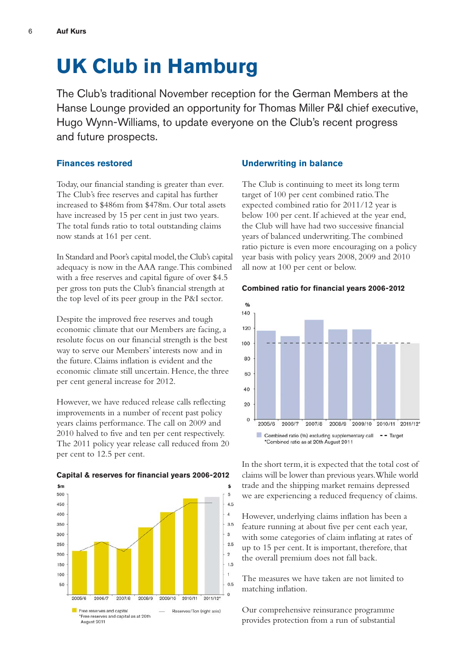### **UK Club in Hamburg**

The Club's traditional November reception for the German Members at the Hanse Lounge provided an opportunity for Thomas Miller P&I chief executive, Hugo Wynn-Williams, to update everyone on the Club's recent progress and future prospects.

#### **Finances restored**

Today, our financial standing is greater than ever. The Club's free reserves and capital has further increased to \$486m from \$478m. Our total assets have increased by 15 per cent in just two years. The total funds ratio to total outstanding claims now stands at 161 per cent.

In Standard and Poor's capital model, the Club's capital adequacy is now in the AAA range. This combined with a free reserves and capital figure of over \$4.5 per gross ton puts the Club's financial strength at the top level of its peer group in the P&I sector.

Despite the improved free reserves and tough economic climate that our Members are facing, a resolute focus on our financial strength is the best way to serve our Members' interests now and in the future. Claims inflation is evident and the economic climate still uncertain. Hence, the three per cent general increase for 2012.

However, we have reduced release calls reflecting improvements in a number of recent past policy years claims performance. The call on 2009 and 2010 halved to five and ten per cent respectively. The 2011 policy year release call reduced from 20 per cent to 12.5 per cent.



#### **Capital & reserves for financial years 2006-2012**

#### **Underwriting in balance**

The Club is continuing to meet its long term target of 100 per cent combined ratio. The expected combined ratio for 2011/12 year is below 100 per cent. If achieved at the year end, the Club will have had two successive financial years of balanced underwriting. The combined ratio picture is even more encouraging on a policy year basis with policy years 2008, 2009 and 2010 all now at 100 per cent or below.



**Combined ratio for financial years 2006-2012**

In the short term, it is expected that the total cost of claims will be lower than previous years. While world trade and the shipping market remains depressed we are experiencing a reduced frequency of claims.

However, underlying claims inflation has been a feature running at about five per cent each year, with some categories of claim inflating at rates of up to 15 per cent. It is important, therefore, that the overall premium does not fall back.

The measures we have taken are not limited to matching inflation.

Our comprehensive reinsurance programme provides protection from a run of substantial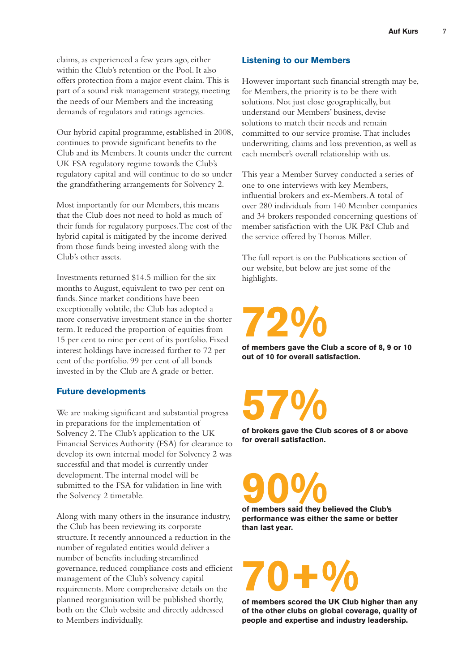claims, as experienced a few years ago, either within the Club's retention or the Pool. It also offers protection from a major event claim. This is part of a sound risk management strategy, meeting the needs of our Members and the increasing demands of regulators and ratings agencies.

Our hybrid capital programme, established in 2008, continues to provide significant benefits to the Club and its Members. It counts under the current UK FSA regulatory regime towards the Club's regulatory capital and will continue to do so under the grandfathering arrangements for Solvency 2.

Most importantly for our Members, this means that the Club does not need to hold as much of their funds for regulatory purposes. The cost of the hybrid capital is mitigated by the income derived from those funds being invested along with the Club's other assets.

Investments returned \$14.5 million for the six months to August, equivalent to two per cent on funds. Since market conditions have been exceptionally volatile, the Club has adopted a more conservative investment stance in the shorter term. It reduced the proportion of equities from 15 per cent to nine per cent of its portfolio. Fixed interest holdings have increased further to 72 per cent of the portfolio. 99 per cent of all bonds invested in by the Club are A grade or better.

#### **Future developments**

We are making significant and substantial progress in preparations for the implementation of Solvency 2. The Club's application to the UK Financial Services Authority (FSA) for clearance to develop its own internal model for Solvency 2 was successful and that model is currently under development. The internal model will be submitted to the FSA for validation in line with the Solvency 2 timetable.

Along with many others in the insurance industry, the Club has been reviewing its corporate structure. It recently announced a reduction in the number of regulated entities would deliver a number of benefits including streamlined governance, reduced compliance costs and efficient management of the Club's solvency capital requirements. More comprehensive details on the planned reorganisation will be published shortly, both on the Club website and directly addressed to Members individually.

#### **Listening to our Members**

However important such financial strength may be, for Members, the priority is to be there with solutions. Not just close geographically, but understand our Members' business, devise solutions to match their needs and remain committed to our service promise. That includes underwriting, claims and loss prevention, as well as each member's overall relationship with us.

This year a Member Survey conducted a series of one to one interviews with key Members, influential brokers and ex-Members. A total of over 280 individuals from 140 Member companies and 34 brokers responded concerning questions of member satisfaction with the UK P&I Club and the service offered by Thomas Miller.

The full report is on the Publications section of our website, but below are just some of the highlights.

# **72%**

**of members gave the Club a score of 8, 9 or 10 out of 10 for overall satisfaction.**

**57%**

**of brokers gave the Club scores of 8 or above for overall satisfaction.**

**90% of members said they believed the Club's**

**performance was either the same or better than last year.**

# **70+%**

**of members scored the UK Club higher than any of the other clubs on global coverage, quality of people and expertise and industry leadership.**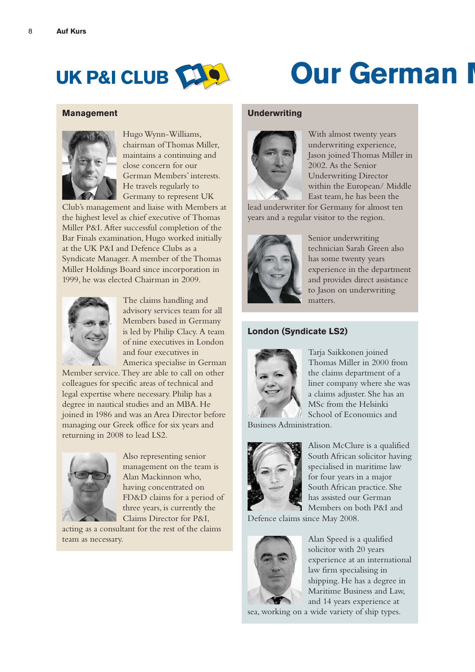

## **Our German I**

#### **Management**



Hugo Wynn-Williams, chairman of Thomas Miller, maintains a continuing and close concern for our German Members' interests. He travels regularly to Germany to represent UK

Club's management and liaise with Members at the highest level as chief executive of Thomas Miller P&I. After successful completion of the Bar Finals examination, Hugo worked initially at the UK P&I and Defence Clubs as a Syndicate Manager. A member of the Thomas Miller Holdings Board since incorporation in 1999, he was elected Chairman in 2009.



The claims handling and advisory services team for all Members based in Germany is led by Philip Clacy. A team of nine executives in London and four executives in America specialise in German

Member service. They are able to call on other colleagues for specific areas of technical and legal expertise where necessary. Philip has a degree in nautical studies and an MBA. He joined in 1986 and was an Area Director before managing our Greek office for six years and returning in 2008 to lead LS2.



Also representing senior management on the team is Alan Mackinnon who, having concentrated on FD&D claims for a period of three years, is currently the Claims Director for P&I,

acting as a consultant for the rest of the claims team as necessary.

#### **Underwriting**



With almost twenty years underwriting experience, Jason joined Thomas Miller in 2002. As the Senior Underwriting Director within the European/ Middle East team, he has been the

lead underwriter for Germany for almost ten years and a regular visitor to the region.



Senior underwriting technician Sarah Green also has some twenty years experience in the department and provides direct assistance to Jason on underwriting matters.

#### **London (Syndicate LS2)**



Tarja Saikkonen joined Thomas Miller in 2000 from the claims department of a liner company where she was a claims adjuster. She has an MSc from the Helsinki School of Economics and

Business Administration.



Alison McClure is a qualified South African solicitor having specialised in maritime law for four years in a major South African practice. She has assisted our German Members on both P&I and

Defence claims since May 2008.



Alan Speed is a qualified solicitor with 20 years experience at an international law firm specialising in shipping. He has a degree in Maritime Business and Law, and 14 years experience at

sea, working on a wide variety of ship types.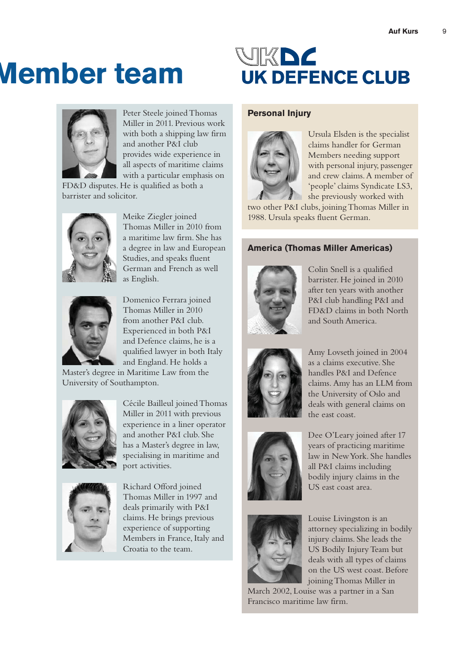## **Member team**



Peter Steele joined Thomas Miller in 2011. Previous work with both a shipping law firm and another P&I club provides wide experience in all aspects of maritime claims with a particular emphasis on

FD&D disputes. He is qualified as both a barrister and solicitor.



Meike Ziegler joined Thomas Miller in 2010 from a maritime law firm. She has a degree in law and European Studies, and speaks fluent German and French as well as English.



Domenico Ferrara joined Thomas Miller in 2010 from another P&I club. Experienced in both P&I and Defence claims, he is a qualified lawyer in both Italy and England. He holds a

Master's degree in Maritime Law from the University of Southampton.



Cécile Bailleul joined Thomas Miller in 2011 with previous experience in a liner operator and another P&I club. She has a Master's degree in law, specialising in maritime and port activities.



Richard Offord joined Thomas Miller in 1997 and deals primarily with P&I claims. He brings previous experience of supporting Members in France, Italy and Croatia to the team.

### VK DZ **UK DEFENCE CLUB**

#### **Personal Injury**



Ursula Elsden is the specialist claims handler for German Members needing support with personal injury, passenger and crew claims.A member of 'people' claims Syndicate LS3, she previously worked with

two other P&I clubs, joining Thomas Miller in 1988. Ursula speaks fluent German.

#### **America (Thomas Miller Americas)**



Colin Snell is a qualified barrister. He joined in 2010 after ten years with another P&I club handling P&I and FD&D claims in both North and South America.



Amy Lovseth joined in 2004 as a claims executive. She handles P&I and Defence claims. Amy has an LLM from the University of Oslo and deals with general claims on the east coast.



Dee O'Leary joined after 17 years of practicing maritime law in New York. She handles all P&I claims including bodily injury claims in the US east coast area.



Louise Livingston is an attorney specializing in bodily injury claims. She leads the US Bodily Injury Team but deals with all types of claims on the US west coast. Before joining Thomas Miller in

March 2002, Louise was a partner in a San Francisco maritime law firm.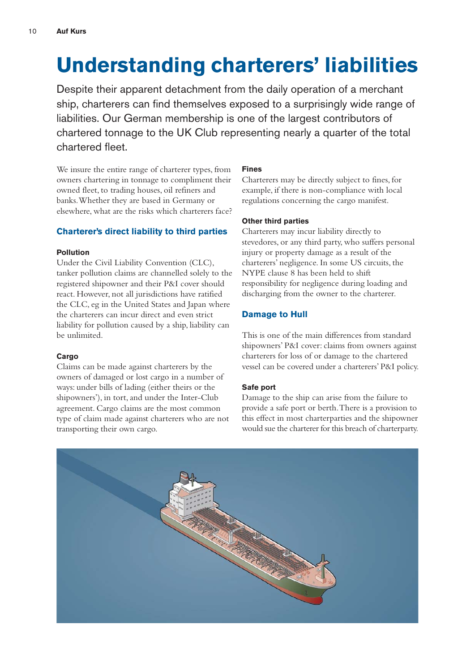## **Understanding charterers' liabilities**

Despite their apparent detachment from the daily operation of a merchant ship, charterers can find themselves exposed to a surprisingly wide range of liabilities. Our German membership is one of the largest contributors of chartered tonnage to the UK Club representing nearly a quarter of the total chartered fleet.

We insure the entire range of charterer types, from owners chartering in tonnage to compliment their owned fleet, to trading houses, oil refiners and banks. Whether they are based in Germany or elsewhere, what are the risks which charterers face?

#### **Charterer's direct liability to third parties**

#### **Pollution**

Under the Civil Liability Convention (CLC), tanker pollution claims are channelled solely to the registered shipowner and their P&I cover should react. However, not all jurisdictions have ratified the CLC, eg in the United States and Japan where the charterers can incur direct and even strict liability for pollution caused by a ship, liability can be unlimited.

#### **Cargo**

Claims can be made against charterers by the owners of damaged or lost cargo in a number of ways: under bills of lading (either theirs or the shipowners'), in tort, and under the Inter-Club agreement. Cargo claims are the most common type of claim made against charterers who are not transporting their own cargo.

#### **Fines**

Charterers may be directly subject to fines, for example, if there is non-compliance with local regulations concerning the cargo manifest.

#### **Other third parties**

Charterers may incur liability directly to stevedores, or any third party, who suffers personal injury or property damage as a result of the charterers' negligence. In some US circuits, the NYPE clause 8 has been held to shift responsibility for negligence during loading and discharging from the owner to the charterer.

#### **Damage to Hull**

This is one of the main differences from standard shipowners' P&I cover: claims from owners against charterers for loss of or damage to the chartered vessel can be covered under a charterers' P&I policy.

#### **Safe port**

Damage to the ship can arise from the failure to provide a safe port or berth. There is a provision to this effect in most charterparties and the shipowner would sue the charterer for this breach of charterparty.

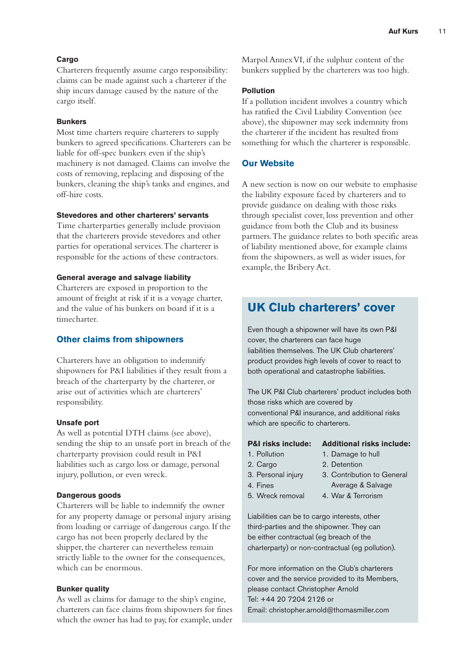#### **Cargo**

Charterers frequently assume cargo responsibility: claims can be made against such a charterer if the ship incurs damage caused by the nature of the cargo itself.

#### **Bunkers**

Most time charters require charterers to supply bunkers to agreed specifications. Charterers can be liable for off-spec bunkers even if the ship's machinery is not damaged. Claims can involve the costs of removing, replacing and disposing of the bunkers, cleaning the ship's tanks and engines, and off-hire costs.

#### **Stevedores and other charterers' servants**

Time charterparties generally include provision that the charterers provide stevedores and other parties for operational services. The charterer is responsible for the actions of these contractors.

#### **General average and salvage liability**

Charterers are exposed in proportion to the amount of freight at risk if it is a voyage charter, and the value of his bunkers on board if it is a timecharter.

#### **Other claims from shipowners**

Charterers have an obligation to indemnify shipowners for P&I liabilities if they result from a breach of the charterparty by the charterer, or arise out of activities which are charterers' responsibility.

#### **Unsafe port**

As well as potential DTH claims (see above), sending the ship to an unsafe port in breach of the charterparty provision could result in P&I liabilities such as cargo loss or damage, personal injury, pollution, or even wreck.

#### **Dangerous goods**

Charterers will be liable to indemnify the owner for any property damage or personal injury arising from loading or carriage of dangerous cargo. If the cargo has not been properly declared by the shipper, the charterer can nevertheless remain strictly liable to the owner for the consequences, which can be enormous.

#### **Bunker quality**

As well as claims for damage to the ship's engine, charterers can face claims from shipowners for fines which the owner has had to pay, for example, under

Marpol Annex VI, if the sulphur content of the bunkers supplied by the charterers was too high.

#### **Pollution**

If a pollution incident involves a country which has ratified the Civil Liability Convention (see above), the shipowner may seek indemnity from the charterer if the incident has resulted from something for which the charterer is responsible.

#### **Our Website**

A new section is now on our website to emphasise the liability exposure faced by charterers and to provide guidance on dealing with those risks through specialist cover, loss prevention and other guidance from both the Club and its business partners. The guidance relates to both specific areas of liability mentioned above, for example claims from the shipowners, as well as wider issues, for example, the Bribery Act.

#### **UK Club charterers' cover**

Even though a shipowner will have its own P&I cover, the charterers can face huge liabilities themselves. The UK Club charterers' product provides high levels of cover to react to both operational and catastrophe liabilities.

The UK P&I Club charterers' product includes both those risks which are covered by conventional P&I insurance, and additional risks which are specific to charterers.

#### **P&I risks include: Additional risks include:**

- 1. Pollution
- 1. Damage to hull
- 2. Cargo
- 2. Detention
- 3. Personal injury 4. Fines
- 3. Contribution to General Average & Salvage
- 5. Wreck removal
- 4. War & Terrorism

Liabilities can be to cargo interests, other third-parties and the shipowner. They can be either contractual (eg breach of the charterparty) or non-contractual (eg pollution).

For more information on the Club's charterers cover and the service provided to its Members, please contact Christopher Arnold Tel: +44 20 7204 2126 or Email: christopher.arnold@thomasmiller.com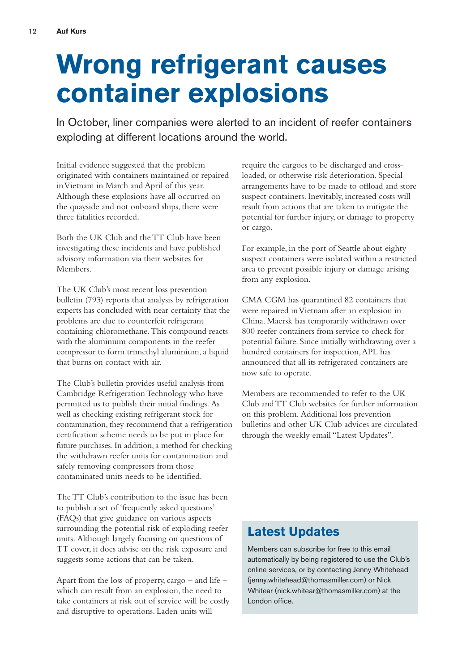## **Wrong refrigerant causes container explosions**

In October, liner companies were alerted to an incident of reefer containers exploding at different locations around the world.

Initial evidence suggested that the problem originated with containers maintained or repaired in Vietnam in March and April of this year. Although these explosions have all occurred on the quayside and not onboard ships, there were three fatalities recorded.

Both the UK Club and the TT Club have been investigating these incidents and have published advisory information via their websites for Members.

The UK Club's most recent loss prevention bulletin (793) reports that analysis by refrigeration experts has concluded with near certainty that the problems are due to counterfeit refrigerant containing chloromethane. This compound reacts with the aluminium components in the reefer compressor to form trimethyl aluminium, a liquid that burns on contact with air.

The Club's bulletin provides useful analysis from Cambridge Refrigeration Technology who have permitted us to publish their initial findings. As well as checking existing refrigerant stock for contamination, they recommend that a refrigeration certification scheme needs to be put in place for future purchases. In addition, a method for checking the withdrawn reefer units for contamination and safely removing compressors from those contaminated units needs to be identified.

The TT Club's contribution to the issue has been to publish a set of 'frequently asked questions' (FAQs) that give guidance on various aspects surrounding the potential risk of exploding reefer units. Although largely focusing on questions of TT cover, it does advise on the risk exposure and suggests some actions that can be taken.

Apart from the loss of property, cargo – and life – which can result from an explosion, the need to take containers at risk out of service will be costly and disruptive to operations. Laden units will

require the cargoes to be discharged and crossloaded, or otherwise risk deterioration. Special arrangements have to be made to offload and store suspect containers. Inevitably, increased costs will result from actions that are taken to mitigate the potential for further injury, or damage to property or cargo.

For example, in the port of Seattle about eighty suspect containers were isolated within a restricted area to prevent possible injury or damage arising from any explosion.

CMA CGM has quarantined 82 containers that were repaired in Vietnam after an explosion in China. Maersk has temporarily withdrawn over 800 reefer containers from service to check for potential failure. Since initially withdrawing over a hundred containers for inspection, APL has announced that all its refrigerated containers are now safe to operate.

Members are recommended to refer to the UK Club and TT Club websites for further information on this problem. Additional loss prevention bulletins and other UK Club advices are circulated through the weekly email "Latest Updates".

#### **Latest Updates**

Members can subscribe for free to this email automatically by being registered to use the Club's online services, or by contacting Jenny Whitehead (jenny.whitehead@thomasmiller.com) or Nick Whitear (nick.whitear@thomasmiller.com) at the London office.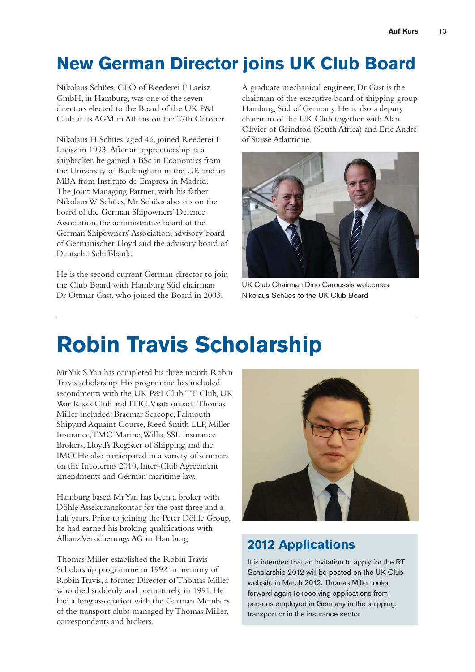### **New German Director joins UK Club Board**

Nikolaus Schües, CEO of Reederei F Laeisz GmbH, in Hamburg, was one of the seven directors elected to the Board of the UK P&I Club at its AGM in Athens on the 27th October.

Nikolaus H Schües, aged 46, joined Reederei F Laeisz in 1993. After an apprenticeship as a shipbroker, he gained a BSc in Economics from the University of Buckingham in the UK and an MBA from Instituto de Empresa in Madrid. The Joint Managing Partner, with his father Nikolaus W Schües, Mr Schües also sits on the board of the German Shipowners' Defence Association, the administrative board of the German Shipowners' Association, advisory board of Germanischer Lloyd and the advisory board of Deutsche Schiffsbank.

He is the second current German director to join the Club Board with Hamburg Süd chairman Dr Ottmar Gast, who joined the Board in 2003.

A graduate mechanical engineer, Dr Gast is the chairman of the executive board of shipping group Hamburg Süd of Germany. He is also a deputy chairman of the UK Club together with Alan Olivier of Grindrod (South Africa) and Eric André of Suisse Atlantique.



UK Club Chairman Dino Caroussis welcomes Nikolaus Schües to the UK Club Board

## **Robin Travis Scholarship**

Mr Yik S. Yan has completed his three month Robin Travis scholarship. His programme has included secondments with the UK P&I Club, TT Club, UK War Risks Club and ITIC.Visits outside Thomas Miller included: Braemar Seacope, Falmouth Shipyard Aquaint Course, Reed Smith LLP, Miller Insurance, TMC Marine, Willis, SSL Insurance Brokers, Lloyd's Register of Shipping and the IMO. He also participated in a variety of seminars on the Incoterms 2010, Inter-Club Agreement amendments and German maritime law.

Hamburg based Mr Yan has been a broker with Döhle Assekuranzkontor for the past three and a half years. Prior to joining the Peter Döhle Group, he had earned his broking qualifications with Allianz Versicherungs AG in Hamburg.

Thomas Miller established the Robin Travis Scholarship programme in 1992 in memory of Robin Travis, a former Director of Thomas Miller who died suddenly and prematurely in 1991. He had a long association with the German Members of the transport clubs managed by Thomas Miller, correspondents and brokers.



#### **2012 Applications**

It is intended that an invitation to apply for the RT Scholarship 2012 will be posted on the UK Club website in March 2012. Thomas Miller looks forward again to receiving applications from persons employed in Germany in the shipping, transport or in the insurance sector.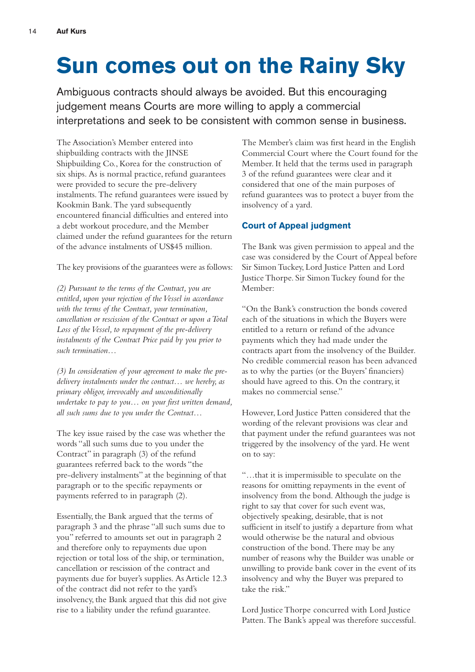## **Sun comes out on the Rainy Sky**

Ambiguous contracts should always be avoided. But this encouraging judgement means Courts are more willing to apply a commercial interpretations and seek to be consistent with common sense in business.

The Association's Member entered into shipbuilding contracts with the JINSE Shipbuilding Co., Korea for the construction of six ships. As is normal practice, refund guarantees were provided to secure the pre-delivery instalments. The refund guarantees were issued by Kookmin Bank. The yard subsequently encountered financial difficulties and entered into a debt workout procedure, and the Member claimed under the refund guarantees for the return of the advance instalments of US\$45 million.

The key provisions of the guarantees were as follows:

*(2) Pursuant to the terms of the Contract, you are entitled, upon your rejection of the Vessel in accordance with the terms of the Contract, your termination, cancellation or rescission of the Contract or upon a Total Loss of the Vessel, to repayment of the pre-delivery instalments of the Contract Price paid by you prior to such termination…*

*(3) In consideration of your agreement to make the predelivery instalments under the contract… we hereby, as primary obligor, irrevocably and unconditionally undertake to pay to you… on your first written demand, all such sums due to you under the Contract…*

The key issue raised by the case was whether the words "all such sums due to you under the Contract" in paragraph (3) of the refund guarantees referred back to the words "the pre-delivery instalments" at the beginning of that paragraph or to the specific repayments or payments referred to in paragraph (2).

Essentially, the Bank argued that the terms of paragraph 3 and the phrase "all such sums due to you" referred to amounts set out in paragraph 2 and therefore only to repayments due upon rejection or total loss of the ship, or termination, cancellation or rescission of the contract and payments due for buyer's supplies. As Article 12.3 of the contract did not refer to the yard's insolvency, the Bank argued that this did not give rise to a liability under the refund guarantee.

The Member's claim was first heard in the English Commercial Court where the Court found for the Member. It held that the terms used in paragraph 3 of the refund guarantees were clear and it considered that one of the main purposes of refund guarantees was to protect a buyer from the insolvency of a yard.

#### **Court of Appeal judgment**

The Bank was given permission to appeal and the case was considered by the Court of Appeal before Sir Simon Tuckey, Lord Justice Patten and Lord Justice Thorpe. Sir Simon Tuckey found for the Member:

"On the Bank's construction the bonds covered each of the situations in which the Buyers were entitled to a return or refund of the advance payments which they had made under the contracts apart from the insolvency of the Builder. No credible commercial reason has been advanced as to why the parties (or the Buyers' financiers) should have agreed to this. On the contrary, it makes no commercial sense."

However, Lord Justice Patten considered that the wording of the relevant provisions was clear and that payment under the refund guarantees was not triggered by the insolvency of the yard. He went on to say:

"…that it is impermissible to speculate on the reasons for omitting repayments in the event of insolvency from the bond. Although the judge is right to say that cover for such event was, objectively speaking, desirable, that is not sufficient in itself to justify a departure from what would otherwise be the natural and obvious construction of the bond. There may be any number of reasons why the Builder was unable or unwilling to provide bank cover in the event of its insolvency and why the Buyer was prepared to take the risk."

Lord Justice Thorpe concurred with Lord Justice Patten. The Bank's appeal was therefore successful.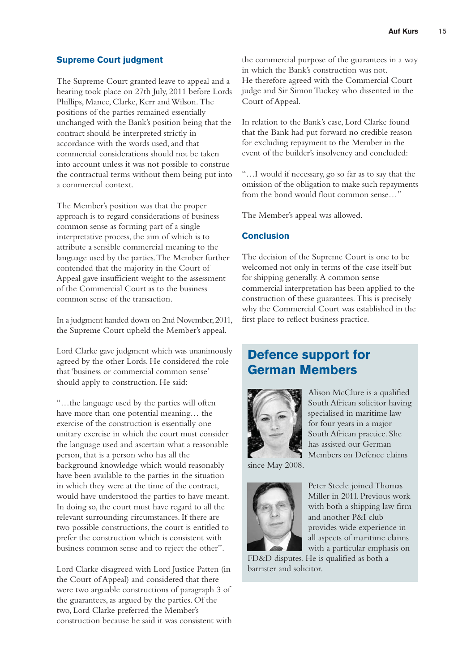#### **Supreme Court judgment**

The Supreme Court granted leave to appeal and a hearing took place on 27th July, 2011 before Lords Phillips, Mance, Clarke, Kerr and Wilson. The positions of the parties remained essentially unchanged with the Bank's position being that the contract should be interpreted strictly in accordance with the words used, and that commercial considerations should not be taken into account unless it was not possible to construe the contractual terms without them being put into a commercial context.

The Member's position was that the proper approach is to regard considerations of business common sense as forming part of a single interpretative process, the aim of which is to attribute a sensible commercial meaning to the language used by the parties. The Member further contended that the majority in the Court of Appeal gave insufficient weight to the assessment of the Commercial Court as to the business common sense of the transaction.

In a judgment handed down on 2nd November, 2011, the Supreme Court upheld the Member's appeal.

Lord Clarke gave judgment which was unanimously agreed by the other Lords. He considered the role that 'business or commercial common sense' should apply to construction. He said:

"…the language used by the parties will often have more than one potential meaning… the exercise of the construction is essentially one unitary exercise in which the court must consider the language used and ascertain what a reasonable person, that is a person who has all the background knowledge which would reasonably have been available to the parties in the situation in which they were at the time of the contract, would have understood the parties to have meant. In doing so, the court must have regard to all the relevant surrounding circumstances. If there are two possible constructions, the court is entitled to prefer the construction which is consistent with business common sense and to reject the other".

Lord Clarke disagreed with Lord Justice Patten (in the Court of Appeal) and considered that there were two arguable constructions of paragraph 3 of the guarantees, as argued by the parties. Of the two, Lord Clarke preferred the Member's construction because he said it was consistent with

the commercial purpose of the guarantees in a way in which the Bank's construction was not. He therefore agreed with the Commercial Court judge and Sir Simon Tuckey who dissented in the Court of Appeal.

In relation to the Bank's case, Lord Clarke found that the Bank had put forward no credible reason for excluding repayment to the Member in the event of the builder's insolvency and concluded:

"…I would if necessary, go so far as to say that the omission of the obligation to make such repayments from the bond would flout common sense…"

The Member's appeal was allowed.

#### **Conclusion**

The decision of the Supreme Court is one to be welcomed not only in terms of the case itself but for shipping generally. A common sense commercial interpretation has been applied to the construction of these guarantees. This is precisely why the Commercial Court was established in the first place to reflect business practice.

#### **Defence support for German Members**



Alison McClure is a qualified South African solicitor having specialised in maritime law for four years in a major South African practice. She has assisted our German Members on Defence claims

since May 2008.



Peter Steele joined Thomas Miller in 2011. Previous work with both a shipping law firm and another P&I club provides wide experience in all aspects of maritime claims with a particular emphasis on

FD&D disputes. He is qualified as both a barrister and solicitor.